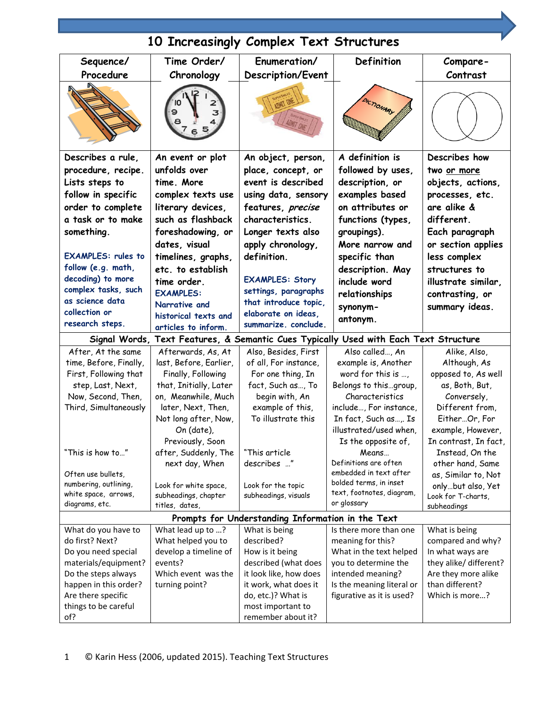| 10 Increasingly Complex Text Structures                                              |                                        |                                         |                                |                                     |  |  |  |
|--------------------------------------------------------------------------------------|----------------------------------------|-----------------------------------------|--------------------------------|-------------------------------------|--|--|--|
| Sequence/                                                                            | Time Order/                            | Enumeration/                            | Definition                     | Compare-                            |  |  |  |
| Procedure                                                                            | Chronology                             | Description/Event                       |                                | Contrast                            |  |  |  |
|                                                                                      | 9                                      |                                         |                                |                                     |  |  |  |
| Describes a rule,                                                                    | An event or plot                       | An object, person,                      | A definition is                | Describes how                       |  |  |  |
| procedure, recipe.                                                                   | unfolds over                           | place, concept, or                      | followed by uses,              | two or more                         |  |  |  |
| Lists steps to                                                                       | time. More                             | event is described                      | description, or                | objects, actions,                   |  |  |  |
| follow in specific                                                                   | complex texts use                      | using data, sensory                     | examples based                 | processes, etc.                     |  |  |  |
| order to complete                                                                    | literary devices,                      | features, precise                       | on attributes or               | are alike &                         |  |  |  |
| a task or to make                                                                    | such as flashback                      | characteristics.                        | functions (types,              | different.                          |  |  |  |
| something.                                                                           | foreshadowing, or                      | Longer texts also                       | groupings).                    | Each paragraph                      |  |  |  |
|                                                                                      | dates, visual                          | apply chronology,                       | More narrow and                | or section applies                  |  |  |  |
| <b>EXAMPLES: rules to</b>                                                            | timelines, graphs,                     | definition.                             | specific than                  | less complex                        |  |  |  |
| follow (e.g. math,                                                                   | etc. to establish                      |                                         | description. May               | structures to                       |  |  |  |
| decoding) to more                                                                    | time order.                            | <b>EXAMPLES: Story</b>                  | include word                   | illustrate similar,                 |  |  |  |
| complex tasks, such                                                                  | <b>EXAMPLES:</b>                       | settings, paragraphs                    |                                |                                     |  |  |  |
| as science data                                                                      | Narrative and                          | that introduce topic,                   | relationships                  | contrasting, or                     |  |  |  |
| collection or                                                                        | historical texts and                   | elaborate on ideas,                     | synonym-                       | summary ideas.                      |  |  |  |
| research steps.                                                                      | articles to inform.                    | summarize. conclude.                    | antonym.                       |                                     |  |  |  |
| Signal Words, Text Features, & Semantic Cues Typically Used with Each Text Structure |                                        |                                         |                                |                                     |  |  |  |
| After, At the same                                                                   | Afterwards, As, At                     | Also, Besides, First                    | Also called, An                | Alike, Also,                        |  |  |  |
| time, Before, Finally,                                                               | last, Before, Earlier,                 | of all, For instance,                   | example is, Another            | Although, As                        |  |  |  |
| First, Following that                                                                | Finally, Following                     | For one thing, In                       | word for this is $\dots$ ,     | opposed to, As well                 |  |  |  |
| step, Last, Next,                                                                    | that, Initially, Later                 | fact, Such as, To                       | Belongs to thisgroup,          | as, Both, But,                      |  |  |  |
| Now, Second, Then,                                                                   | on, Meanwhile, Much                    | begin with, An                          | Characteristics                | Conversely,                         |  |  |  |
| Third, Simultaneously                                                                | later, Next, Then,                     | example of this,                        | include, For instance,         | Different from,                     |  |  |  |
|                                                                                      | Not long after, Now,                   | To illustrate this                      | In fact, Such as,. Is          | EitherOr, For                       |  |  |  |
|                                                                                      | On (date),                             |                                         | illustrated/used when.         | example, However,                   |  |  |  |
|                                                                                      | Previously, Soon                       |                                         | Is the opposite of,            | In contrast, In fact,               |  |  |  |
| "This is how to…"                                                                    | after, Suddenly, The<br>next day, When | "This article<br>describes "            | Means<br>Definitions are often | Instead, On the<br>other hand, Same |  |  |  |
| Often use bullets,                                                                   |                                        |                                         | embedded in text after         | as, Similar to, Not                 |  |  |  |
| numbering, outlining,                                                                | Look for white space,                  | Look for the topic                      | bolded terms, in inset         | onlybut also, Yet                   |  |  |  |
| white space, arrows,                                                                 | subheadings, chapter                   | subheadings, visuals                    | text, footnotes, diagram,      | Look for T-charts,                  |  |  |  |
| diagrams, etc.                                                                       | titles, dates,                         |                                         | or glossary                    | subheadings                         |  |  |  |
| Prompts for Understanding Information in the Text                                    |                                        |                                         |                                |                                     |  |  |  |
| What do you have to                                                                  | What lead up to ?                      | What is being                           | Is there more than one         | What is being                       |  |  |  |
| do first? Next?                                                                      | What helped you to                     | described?                              | meaning for this?              | compared and why?                   |  |  |  |
| Do you need special                                                                  | develop a timeline of                  | How is it being                         | What in the text helped        | In what ways are                    |  |  |  |
| materials/equipment?                                                                 | events?                                | described (what does                    | you to determine the           | they alike/ different?              |  |  |  |
| Do the steps always                                                                  | Which event was the                    | it look like, how does                  | intended meaning?              | Are they more alike                 |  |  |  |
| happen in this order?                                                                | turning point?                         | it work, what does it                   | Is the meaning literal or      | than different?<br>Which is more?   |  |  |  |
| Are there specific<br>things to be careful                                           |                                        | do, etc.)? What is<br>most important to | figurative as it is used?      |                                     |  |  |  |
| of?                                                                                  |                                        | remember about it?                      |                                |                                     |  |  |  |
|                                                                                      |                                        |                                         |                                |                                     |  |  |  |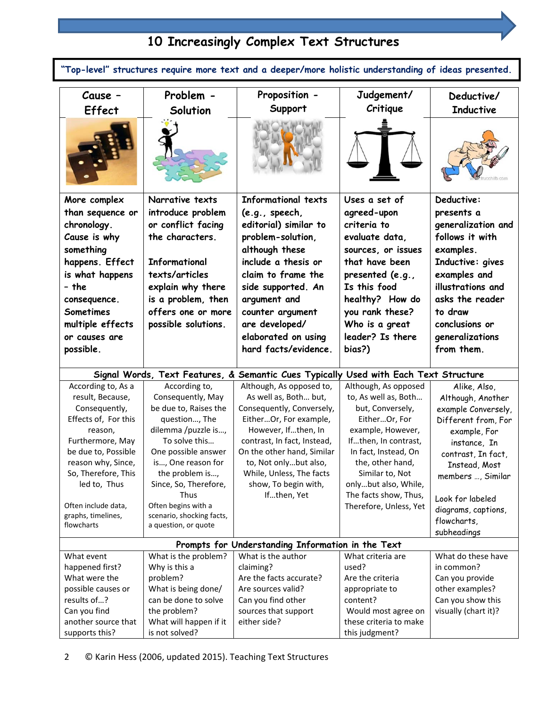#### **10 Increasingly Complex Text Structures Cause – Effect Problem - Solution Proposition - Support Judgement/ Critique Deductive/ Inductive More complex than sequence or chronology. Cause is why something happens. Effect is what happens – the consequence. Sometimes multiple effects or causes are possible. Narrative texts introduce problem or conflict facing the characters. Informational texts/articles explain why there is a problem, then offers one or more possible solutions. Informational texts (e.g., speech, editorial) similar to problem-solution, although these include a thesis or claim to frame the side supported. An argument and counter argument are developed/ elaborated on using hard facts/evidence. Uses a set of agreed-upon criteria to evaluate data, sources, or issues that have been presented (e.g., Is this food healthy? How do you rank these? Who is a great leader? Is there bias?) Deductive: presents a generalization and follows it with examples. Inductive: gives examples and illustrations and asks the reader to draw conclusions or generalizations from them. Signal Words, Text Features, & Semantic Cues Typically Used with Each Text Structure** According to, As a result, Because, Consequently, Effects of, For this reason, Furthermore, May be due to, Possible reason why, Since, So, Therefore, This led to, Thus Often include data, graphs, timelines, flowcharts According to, Consequently, May be due to, Raises the question…, The dilemma /puzzle is…, To solve this… One possible answer is…, One reason for the problem is…, Since, So, Therefore, Thus Often begins with a scenario, shocking facts, a question, or quote Although, As opposed to, As well as, Both… but, Consequently, Conversely, Either…Or, For example, However, If…then, In contrast, In fact, Instead, On the other hand, Similar to, Not only…but also, While, Unless, The facts show, To begin with, If…then, Yet Although, As opposed to, As well as, Both… but, Conversely, Either…Or, For example, However, If…then, In contrast, In fact, Instead, On the, other hand, Similar to, Not only…but also, While, The facts show, Thus, Therefore, Unless, Yet Alike, Also, Although, Another example Conversely, Different from, For example, For instance, In contrast, In fact, Instead, Most members …, Similar Look for labeled diagrams, captions, flowcharts, subheadings **Prompts for Understanding Information in the Text** What event happened first? What were the possible causes or results of…? Can you find another source that supports this? What is the problem? Why is this a problem? What is being done/ can be done to solve the problem? What will happen if it is not solved? What is the author claiming? Are the facts accurate? Are sources valid? Can you find other sources that support either side? What criteria are used? Are the criteria appropriate to content? Would most agree on these criteria to make this judgment? What do these have in common? Can you provide other examples? Can you show this visually (chart it)? **"Top-level" structures require more text and a deeper/more holistic understanding of ideas presented.**

## 2 © Karin Hess (2006, updated 2015). Teaching Text Structures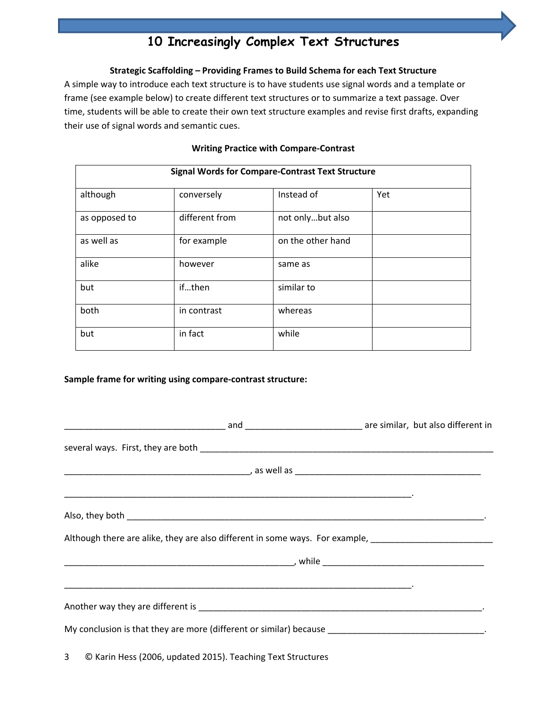# **10 Increasingly Complex Text Structures**

#### **Strategic Scaffolding – Providing Frames to Build Schema for each Text Structure**

A simple way to introduce each text structure is to have students use signal words and a template or frame (see example below) to create different text structures or to summarize a text passage. Over time, students will be able to create their own text structure examples and revise first drafts, expanding their use of signal words and semantic cues.

| <b>Signal Words for Compare-Contrast Text Structure</b> |                |                   |     |  |  |
|---------------------------------------------------------|----------------|-------------------|-----|--|--|
| although                                                | conversely     | Instead of        | Yet |  |  |
| as opposed to                                           | different from | not onlybut also  |     |  |  |
| as well as                                              | for example    | on the other hand |     |  |  |
| alike                                                   | however        | same as           |     |  |  |
| but                                                     | ifthen         | similar to        |     |  |  |
| both                                                    | in contrast    | whereas           |     |  |  |
| but                                                     | in fact        | while             |     |  |  |

#### **Writing Practice with Compare‐Contrast**

#### **Sample frame for writing using compare‐contrast structure:**

| Although there are alike, they are also different in some ways. For example, ________________________________ |  |  |
|---------------------------------------------------------------------------------------------------------------|--|--|
|                                                                                                               |  |  |
|                                                                                                               |  |  |
| My conclusion is that they are more (different or similar) because _________________________________.         |  |  |
| 3 © Karin Hess (2006, updated 2015). Teaching Text Structures                                                 |  |  |